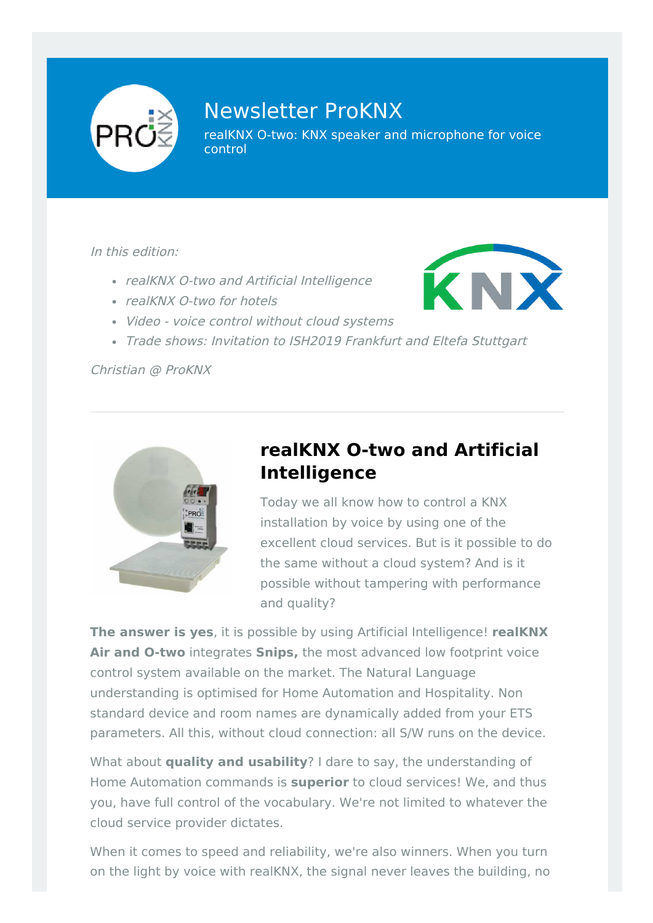

# [Newsletter ProKNX](https://proknx.com/?&utm_source=newsletter&utm_medium=email&utm_campaign=realknx_o_two_the_first_smart_speaker_microphone_for_knx&utm_term=2019-03-04)

[realKNX O-two: KNX speaker and microphone for voice](https://proknx.com/realknx-de?&utm_source=newsletter&utm_medium=email&utm_campaign=realknx_o_two_the_first_smart_speaker_microphone_for_knx&utm_term=2019-03-04) control

In this edition:

- realKNX O-two and Artificial Intelligence
- realKNX O-two for hotels



Trade shows: Invitation to ISH2019 Frankfurt and Eltefa Stuttgart

Christian @ ProKNX



### **[realKNX O-two and Artificial](https://proknx.com/en/product/realknx-o-two-en/?&utm_source=newsletter&utm_medium=email&utm_campaign=realknx_o_two_the_first_smart_speaker_microphone_for_knx&utm_term=2019-03-04) Intelligence**

Today we all know how to control a KNX installation by voice by using one of the excellent cloud services. But is it possible to do the same without a cloud system? And is it possible without tampering with performance and quality?

**The answer is yes**, it is possible by using Artificial Intelligence! **realKNX Air and O-two** integrates **Snips,** the most advanced low footprint voice control system available on the market. The Natural Language understanding is optimised for Home Automation and Hospitality. Non standard device and room names are dynamically added from your ETS parameters. All this, without cloud connection: all S/W runs on the device.

What about **quality and usability**? I dare to say, the understanding of Home Automation commands is **superior** to cloud services! We, and thus you, have full control of the vocabulary. We're not limited to whatever the cloud service provider dictates.

When it comes to speed and reliability, we're also winners. When you turn on the light by voice with realKNX, the signal never leaves the building, no

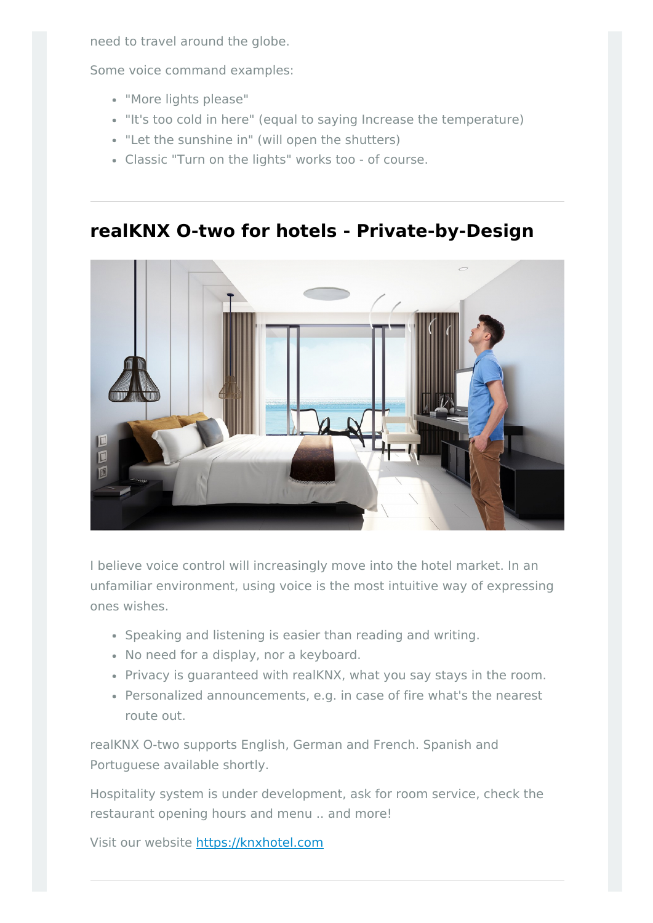need to travel around the globe.

Some voice command examples:

- "More lights please"
- "It's too cold in here" (equal to saying Increase the temperature)
- "Let the sunshine in" (will open the shutters)
- Classic "Turn on the lights" works too of course.

#### **[realKNX O-two for hotels - Private-by-Design](https://knxhotel.com/?&utm_source=newsletter&utm_medium=email&utm_campaign=realknx_o_two_the_first_smart_speaker_microphone_for_knx&utm_term=2019-03-04)**



I believe voice control will increasingly move into the hotel market. In an unfamiliar environment, using voice is the most intuitive way of expressing ones wishes.

- Speaking and listening is easier than reading and writing.
- No need for a display, nor a keyboard.
- Privacy is guaranteed with realKNX, what you say stays in the room.
- Personalized announcements, e.g. in case of fire what's the nearest route out.

realKNX O-two supports English, German and French. Spanish and Portuguese available shortly.

Hospitality system is under development, ask for room service, check the restaurant opening hours and menu .. and more!

Visit our website [https://knxhotel.com](https://knxhotel.com/?&utm_source=newsletter&utm_medium=email&utm_campaign=realknx_o_two_the_first_smart_speaker_microphone_for_knx&utm_term=2019-03-04)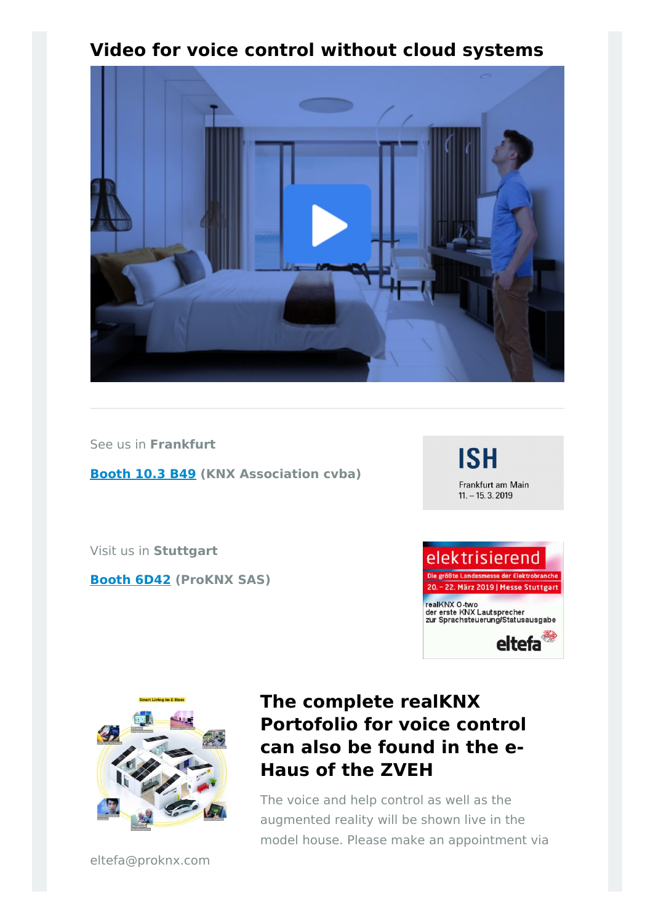#### **[Video for voice control without cloud systems](https://knxhotel.com/?&utm_source=newsletter&utm_medium=email&utm_campaign=realknx_o_two_the_first_smart_speaker_microphone_for_knx&utm_term=2019-03-04)**



See us in **Frankfurt**

**[Booth 10.3 B49](https://ish.messefrankfurt.com/frankfurt/de/ausstellersuche.detail.html/konnex-association.html?&utm_source=newsletter&utm_medium=email&utm_campaign=realknx_o_two_the_first_smart_speaker_microphone_for_knx&utm_term=2019-03-04) (KNX Association cvba)**

**ISH** Frankfurt am Main  $11. - 15.3.2019$ 

Visit us in **Stuttgart**

**[Booth 6D42](https://www.messe-stuttgart.de/eltefa/besucher/ausstellerverzeichnis?&utm_source=newsletter&utm_medium=email&utm_campaign=realknx_o_two_the_first_smart_speaker_microphone_for_knx&utm_term=2019-03-04#/hallenplan/hall=6;stand=6__6D42;) (ProKNX SAS)**

trisierend: 20. - 22. März 2019 | Messe Stuttgart realKNX O-two<br>der erste KNX Lautsprecher<br>zur Sprachsteuerung/Statusausgabe eltefa



eltefa@proknx.com

## **The complete realKNX [Portofolio for voice control](https://www.messe-stuttgart.de/eltefa/besucher/rahmenprogramm/sonderschau-e-haus/?&utm_source=newsletter&utm_medium=email&utm_campaign=realknx_o_two_the_first_smart_speaker_microphone_for_knx&utm_term=2019-03-04) can also be found in the e-Haus of the ZVEH**

The voice and help control as well as the augmented reality will be shown live in the model house. Please make an appointment via